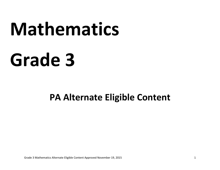# **Mathematics**

## **Grade 3**

### **PA Alternate Eligible Content**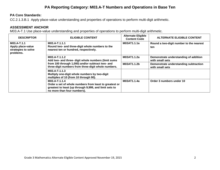#### **PA Reporting Category: M03.A-T Numbers and Operations in Base Ten**

#### **PA Core Standards:**

CC.2.1.3.B.1 Apply place‐value understanding and properties of operations to perform multi‐digit arithmetic.

#### **ASSESSMENT ANCHOR**

M03.A-T.1 Use place-value understanding and properties of operations to perform multi-digit arithmetic.

| <b>DESCRIPTOR</b>                                                    | <b>ELIGIBLE CONTENT</b>                                                                                                                                          | <b>Alternate Eligible</b><br><b>Content Code</b> | <b>ALTERNATE ELIGIBLE CONTENT</b>                        |
|----------------------------------------------------------------------|------------------------------------------------------------------------------------------------------------------------------------------------------------------|--------------------------------------------------|----------------------------------------------------------|
| M03.A-T.1.1<br>Apply place-value<br>strategies to solve<br>problems. | M03.A-T.1.1.1<br>Round two- and three-digit whole numbers to the<br>nearest ten or hundred, respectively.                                                        | M03AT1.1.1a                                      | Round a two-digit number to the nearest<br>ten           |
|                                                                      | M03.A-T.1.1.2<br>Add two- and three- digit whole numbers (limit sums                                                                                             | M03AT1.1.2a                                      | Demonstrate understanding of addition<br>with small sets |
|                                                                      | from 100 through 1,000) and/or subtract two- and<br>three-digit numbers from three-digit whole numbers.                                                          | M03AT1.1.2b                                      | Demonstrate understanding subtraction<br>with small sets |
|                                                                      | M03.A-T.1.1.3<br>Multiply one-digit whole numbers by two-digit<br>multiples of 10 (from 10 through 90).                                                          |                                                  |                                                          |
|                                                                      | M03.A-T.1.1.4<br>Order a set of whole numbers from least to greatest or<br>greatest to least (up through 9,999, and limit sets to<br>no more than four numbers). | M03AT1.1.4a                                      | Order 3 numbers under 10                                 |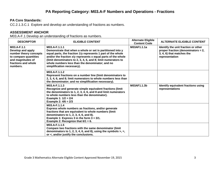#### **PA Core Standards:**

CC.2.1.3.C.1 Explore and develop an understanding of fractions as numbers.

#### **ASSESSMENT ANCHOR**

M03.A-F.1 Develop an understanding of fractions as numbers.

| <b>DESCRIPTOR</b>                                                                                                                           | <b>ELIGIBLE CONTENT</b>                                                                                                                                                                                                                                                                                                                                        | <b>Alternate Eligible</b><br><b>Content Code</b> | <b>ALTERNATE ELIGIBLE CONTENT</b>                                                                                        |
|---------------------------------------------------------------------------------------------------------------------------------------------|----------------------------------------------------------------------------------------------------------------------------------------------------------------------------------------------------------------------------------------------------------------------------------------------------------------------------------------------------------------|--------------------------------------------------|--------------------------------------------------------------------------------------------------------------------------|
| M03.A-F.1.1<br>Develop and apply<br>number theory concepts<br>to compare quantities<br>and magnitudes of<br>fractions and whole<br>numbers. | M03.A-F.1.1.1<br>Demonstrate that when a whole or set is partitioned into y<br>equal parts, the fraction 1/y represents 1 part of the whole<br>and/or the fraction x/y represents x equal parts of the whole<br>(limit denominators to 2, 3, 4, 6, and 8; limit numerators to<br>whole numbers less than the denominator; and no<br>simplification necessary). | M03AF1.1.1a                                      | Identify the unit fraction or other<br>proper fraction (denominators = 2,<br>3, 4, 6) that matches the<br>representation |
|                                                                                                                                             | M03.A-F.1.1.2<br>Represent fractions on a number line (limit denominators to<br>2, 3, 4, 6, and 8; limit numerators to whole numbers less than<br>the denominator; and no simplification necessary).                                                                                                                                                           |                                                  |                                                                                                                          |
|                                                                                                                                             | M03.A-F.1.1.3<br>Recognize and generate simple equivalent fractions (limit<br>the denominators to 1, 2, 3, 4, 6, and 8 and limit numerators<br>to whole numbers less than the denominator).<br>Example 1: $1/2 = 2/4$<br>Example 2: $4/6 = 2/3$                                                                                                                | M03AF1.1.3b                                      | Identify equivalent fractions using<br>representations                                                                   |
|                                                                                                                                             | M03.A-F.1.1.4<br>Express whole numbers as fractions, and/or generate<br>fractions that are equivalent to whole numbers (limit<br>denominators to 1, 2, 3, 4, 6, and 8).<br>Example 1: Express 3 in the form $3 = 3/1$ .<br>Example 2: Recognize that $6/1 = 6$ .                                                                                               |                                                  |                                                                                                                          |
|                                                                                                                                             | M03.A-F.1.1.5<br>Compare two fractions with the same denominator (limit<br>denominators to 1, 2, 3, 4, 6, and 8), using the symbols $>$ , $=$ ,<br>or <, and/or justify the conclusions.                                                                                                                                                                       |                                                  |                                                                                                                          |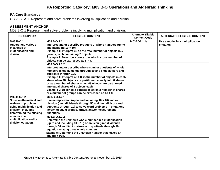#### **PA Reporting Category: M03.B-O Operations and Algebraic Thinking**

#### **PA Core Standards:**

CC.2.2.3.A.1 Represent and solve problems involving multiplication and division.

#### **ASSESSMENT ANCHOR**

M03.B-O.1 Represent and solve problems involving multiplication and division.

| <b>DESCRIPTOR</b>                                                                                                                          | <b>ELIGIBLE CONTENT</b>                                                                                                                                                                                                                                                                                                                                                                                                                                                                                                             | <b>Alternate Eligible</b><br><b>Content Code</b> | <b>ALTERNATE ELIGIBLE CONTENT</b>            |
|--------------------------------------------------------------------------------------------------------------------------------------------|-------------------------------------------------------------------------------------------------------------------------------------------------------------------------------------------------------------------------------------------------------------------------------------------------------------------------------------------------------------------------------------------------------------------------------------------------------------------------------------------------------------------------------------|--------------------------------------------------|----------------------------------------------|
| M03.B-O.1.1<br><b>Understand various</b><br>meanings of<br>multiplication and<br>division.                                                 | M03.B-O.1.1.1<br>Interpret and/or describe products of whole numbers (up to<br>and including $10 \times 10$ ).<br>Example 1: Interpret 35 as the total number of objects in 5<br>groups, each containing 7 objects.<br>Example 2: Describe a context in which a total number of<br>objects can be expressed as $5 \times 7$ .                                                                                                                                                                                                       | M03BO1.1.1a                                      | Use a model in a multiplication<br>situation |
|                                                                                                                                            | M03.B-O.1.1.2<br>Interpret and/or describe whole-number quotients of whole<br>numbers (limit dividends through 50 and limit divisors and<br>quotients through 10).<br>Example 1: Interpret 48 $\div$ 8 as the number of objects in each<br>share when 48 objects are partitioned equally into 8 shares,<br>or as a number of shares when 48 objects are partitioned<br>into equal shares of 8 objects each.<br>Example 2: Describe a context in which a number of shares<br>or a number of groups can be expressed as $48 \div 8$ . |                                                  |                                              |
| M03.B-O.1.2<br>Solve mathematical and<br>real-world problems<br>using multiplication and<br>division, including<br>determining the missing | M03.B-O.1.2.1<br>Use multiplication (up to and including $10 \times 10$ ) and/or<br>division (limit dividends through 50 and limit divisors and<br>quotients through 10) to solve word problems in situations<br>involving equal groups, arrays, and/or measurement<br>quantities.                                                                                                                                                                                                                                                  |                                                  |                                              |
| number in a<br>multiplication and/or<br>division equation.                                                                                 | M03.B-O.1.2.2<br>Determine the unknown whole number in a multiplication<br>(up to and including $10 \times 10$ ) or division (limit dividends<br>through 50 and limit divisors and quotients through 10)<br>equation relating three whole numbers.<br>Example: Determine the unknown number that makes an<br>equation true.                                                                                                                                                                                                         |                                                  |                                              |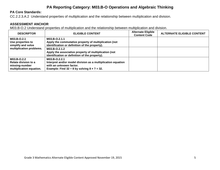#### **PA Reporting Category: M03.B-O Operations and Algebraic Thinking**

#### **PA Core Standards:**

CC.2.2.3.A.2 Understand properties of multiplication and the relationship between multiplication and division.

#### **ASSESSMENT ANCHOR**

M03.B-O.2 Understand properties of multiplication and the relationship between multiplication and division.

| <b>DESCRIPTOR</b>                                                                 | <b>ELIGIBLE CONTENT</b>                                                                                                                                              | <b>Alternate Eligible</b><br><b>Content Code</b> | <b>ALTERNATE ELIGIBLE CONTENT</b> |
|-----------------------------------------------------------------------------------|----------------------------------------------------------------------------------------------------------------------------------------------------------------------|--------------------------------------------------|-----------------------------------|
| M03.B-O.2.1<br>Use properties to<br>simplify and solve                            | M03.B-O.2.1.1<br>Apply the commutative property of multiplication (not<br>identification or definition of the property).                                             |                                                  |                                   |
| multiplication problems.                                                          | M03.B-O.2.1.2<br>Apply the associative property of multiplication (not<br>identification or definition of the property).                                             |                                                  |                                   |
| M03.B-O.2.2<br>Relate division to a<br>missing-number<br>multiplication equation. | M03.B-O.2.2.1<br>Interpret and/or model division as a multiplication equation<br>with an unknown factor.<br>Example: Find $32 \div 8$ by solving $8 \times ? = 32$ . |                                                  |                                   |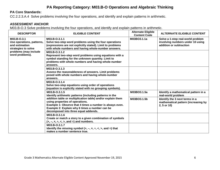#### **PA Reporting Category: M03.B-O Operations and Algebraic Thinking**

#### **PA Core Standards:**

CC.2.2.3.A.4 Solve problems involving the four operations, and identify and explain patterns in arithmetic.

#### **ASSESSMENT ANCHOR**

M03.B-O.3 Solve problems involving the four operations, and identify and explain patterns in arithmetic.

| <b>DESCRIPTOR</b>                                                                                                             | <b>ELIGIBLE CONTENT</b>                                                                                                                                                                                                                              | <b>Alternate Eligible</b><br><b>Content Code</b> | <b>ALTERNATE ELIGIBLE CONTENT</b>                                                                |
|-------------------------------------------------------------------------------------------------------------------------------|------------------------------------------------------------------------------------------------------------------------------------------------------------------------------------------------------------------------------------------------------|--------------------------------------------------|--------------------------------------------------------------------------------------------------|
| M03.B-O.3.1<br>Use operations, patterns,<br>and estimation<br>strategies to solve<br>problems (may include<br>word problems). | M03.B-O.3.1.1<br>Solve two-step word problems using the four operations<br>(expressions are not explicitly stated). Limit to problems<br>with whole numbers and having whole-number answers.                                                         | M03BO3.1.1a                                      | Solve a 1-step real-world problem<br>involving numbers under 10 using<br>addition or subtraction |
|                                                                                                                               | M03.B-O.3.1.2<br>Represent two-step word problems using equations with a<br>symbol standing for the unknown quantity. Limit to<br>problems with whole numbers and having whole-number<br>answers.                                                    |                                                  |                                                                                                  |
|                                                                                                                               | M03.B-O.3.1.3<br>Assess the reasonableness of answers. Limit problems<br>posed with whole numbers and having whole-number<br>answers.                                                                                                                |                                                  |                                                                                                  |
|                                                                                                                               | M03.B-O.3.1.4<br>Solve two-step equations using order of operations<br>(equation is explicitly stated with no grouping symbols).                                                                                                                     |                                                  |                                                                                                  |
|                                                                                                                               | M03.B-O.3.1.5<br>Identify arithmetic patterns (including patterns in the                                                                                                                                                                             | M03BO3.1.5a                                      | Identify a mathematical pattern in a<br>real-world problem                                       |
|                                                                                                                               | addition table or multiplication table) and/or explain them<br>using properties of operations.<br>Example 1: Observe that 4 times a number is always even.<br>Example 2: Explain why 6 times a number can be<br>decomposed into three equal addends. | M03BO3.1.5b                                      | Identify the 3 next terms in a<br>mathematical pattern (increasing by<br>2, 5 or 10)             |
|                                                                                                                               | M03.B-O.3.1.6<br>Create or match a story to a given combination of symbols<br>$(+, -, x, \div, <, >,$ and =) and numbers.                                                                                                                            |                                                  |                                                                                                  |
|                                                                                                                               | M03.B-O.3.1.7<br>Identify the missing symbol $(+, -, x, \div, <, >,$ and =) that<br>makes a number sentence true.                                                                                                                                    |                                                  |                                                                                                  |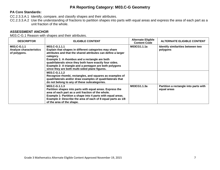#### **PA Reporting Category: M03.C-G Geometry**

#### **PA Core Standards:**

CC.2.3.3.A.1 Identify, compare, and classify shapes and their attributes.

CC.2.3.3.A.2 Use the understanding of fractions to partition shapes into parts with equal areas and express the area of each part as a unit fraction of the whole.

#### **ASSESSMENT ANCHOR**

M03.C-G.1 Reason with shapes and their attributes.

| <b>DESCRIPTOR</b>                                             | <b>ELIGIBLE CONTENT</b>                                                                                                                                                                                                                                                                                                                                                      | <b>Alternate Eligible</b><br><b>Content Code</b> | <b>ALTERNATE ELIGIBLE CONTENT</b>                    |
|---------------------------------------------------------------|------------------------------------------------------------------------------------------------------------------------------------------------------------------------------------------------------------------------------------------------------------------------------------------------------------------------------------------------------------------------------|--------------------------------------------------|------------------------------------------------------|
| M03.C-G.1.1<br><b>Analyze characteristics</b><br>of polygons. | M03.C-G.1.1.1<br>Explain that shapes in different categories may share<br>attributes and that the shared attributes can define a larger<br>category.<br>Example 1: A rhombus and a rectangle are both<br>quadrilaterals since they both have exactly four sides.<br>Example 2: A triangle and a pentagon are both polygons<br>since they are both multi-sided plane figures. | M03CG1.1.1a                                      | Identify similarities between two<br>polygons        |
|                                                               | M03.C-G.1.1.2<br>Recognize rhombi, rectangles, and squares as examples of<br>quadrilaterals and/or draw examples of quadrilaterals that<br>do not belong to any of these subcategories.                                                                                                                                                                                      |                                                  |                                                      |
|                                                               | M03.C-G.1.1.3<br>Partition shapes into parts with equal areas. Express the<br>area of each part as a unit fraction of the whole.<br>Example 1: Partition a shape into 4 parts with equal areas.<br>Example 2: Describe the area of each of 8 equal parts as 1/8<br>of the area of the shape.                                                                                 | M03CG1.1.3a                                      | Partition a rectangle into parts with<br>equal areas |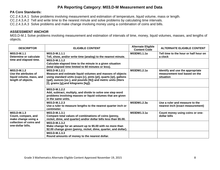#### **PA Core Standards:**

CC.2.4.3.A.1 Solve problems involving measurement and estimation of temperature, liquid volume, mass or length.

CC.2.4.3.A.2 Tell and write time to the nearest minute and solve problems by calculating time intervals.

CC.2.4.3.A.3 Solve problems and make change involving money using a combination of coins and bills.

#### **ASSESSMENT ANCHOR**

M03.D-M.1 Solve problems involving measurement and estimation of intervals of time, money, liquid volumes, masses, and lengths of objects.

| <b>DESCRIPTOR</b>                                                                                         | <b>ELIGIBLE CONTENT</b>                                                                                                                                         | <b>Alternate Eligible</b><br><b>Content Code</b> | <b>ALTERNATE ELIGIBLE CONTENT</b>                                              |
|-----------------------------------------------------------------------------------------------------------|-----------------------------------------------------------------------------------------------------------------------------------------------------------------|--------------------------------------------------|--------------------------------------------------------------------------------|
| M03.D-M.1.1<br>Determine or calculate                                                                     | M03.D-M.1.1.1<br>Tell, show, and/or write time (analog) to the nearest minute.                                                                                  | M03DM1.1.1a                                      | Tell time to the hour or half hour on<br>a clock                               |
| time and elapsed time.                                                                                    | M03.D-M.1.1.2<br>Calculate elapsed time to the minute in a given situation<br>(total elapsed time limited to 60 minutes or less).                               |                                                  |                                                                                |
| M03.D-M.1.2<br>Use the attributes of<br>liquid volume, mass, and                                          | M03.D-M.1.2.1<br>Measure and estimate liquid volumes and masses of objects<br>using standard units (cups [c], pints [pt], quarts [qt], gallons                  | M03DM1.2.1a                                      | Identify and use the appropriate<br>measurement tool based on the<br>situation |
| length of objects.                                                                                        | [gal], ounces [oz.], and pounds [lb]) and metric units (liters<br>[I], grams [g], and kilograms [kg]).                                                          |                                                  |                                                                                |
|                                                                                                           | M03.D-M.1.2.2<br>Add, subtract, multiply, and divide to solve one step word<br>problems involving masses or liquid volumes that are given<br>in the same units. |                                                  |                                                                                |
|                                                                                                           | M03.D-M.1.2.3<br>Use a ruler to measure lengths to the nearest quarter inch or<br>centimeter.                                                                   | M03DM1.2.3a                                      | Use a ruler and measure to the<br>nearest inch (exact measurement)             |
| M03.D-M.1.3<br>Count, compare, and<br>make change using a<br>collection of coins and<br>one-dollar bills. | M03.D-M.1.3.1<br>Compare total values of combinations of coins (penny,<br>nickel, dime, and quarter) and/or dollar bills less than \$5.00.                      | M03DM1.3.1a                                      | Count money using coins or one-<br>dollar bills                                |
|                                                                                                           | M03.D-M.1.3.2<br>Make change for an amount up to \$5.00 with no more than<br>\$2.00 change given (penny, nickel, dime, quarter, and dollar).                    |                                                  |                                                                                |
|                                                                                                           | M03.D-M.1.3.3<br>Round amounts of money to the nearest dollar.                                                                                                  |                                                  |                                                                                |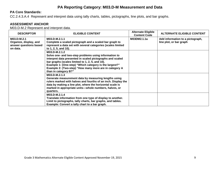#### **PA Core Standards:**

CC.2.4.3.A.4 Represent and interpret data using tally charts, tables, pictographs, line plots, and bar graphs.

#### **ASSESSMENT ANCHOR**

M03.D-M.2 Represent and interpret data.

| <b>DESCRIPTOR</b>                                                           | <b>ELIGIBLE CONTENT</b>                                                                                                                                                                                                                                                                                                            | <b>Alternate Eligible</b><br><b>Content Code</b> | <b>ALTERNATE ELIGIBLE CONTENT</b>                           |
|-----------------------------------------------------------------------------|------------------------------------------------------------------------------------------------------------------------------------------------------------------------------------------------------------------------------------------------------------------------------------------------------------------------------------|--------------------------------------------------|-------------------------------------------------------------|
| M03.D-M.2.1<br>Organize, display, and<br>answer questions based<br>on data. | M03.D-M.2.1.1<br>Complete a scaled pictograph and a scaled bar graph to<br>represent a data set with several categories (scales limited<br>to 1, 2, 5, and 10).                                                                                                                                                                    | M03DM2.1.1a                                      | Add information to a pictograph,<br>line plot, or bar graph |
|                                                                             | M03.D-M.2.1.2<br>Solve one- and two-step problems using information to<br>interpret data presented in scaled pictographs and scaled<br>bar graphs (scales limited to 1, 2, 5, and 10).<br>Example 1: (One-step) "Which category is the largest?"<br>Example 2: (Two-step) "How many more are in category A<br>than in category B?" |                                                  |                                                             |
|                                                                             | M03.D-M.2.1.3<br>Generate measurement data by measuring lengths using<br>rulers marked with halves and fourths of an inch. Display the<br>data by making a line plot, where the horizontal scale is<br>marked in appropriate units-whole numbers, halves, or<br>quarters.                                                          |                                                  |                                                             |
|                                                                             | M03.D-M.2.1.4<br>Translate information from one type of display to another.<br>Limit to pictographs, tally charts, bar graphs, and tables.<br>Example: Convert a tally chart to a bar graph.                                                                                                                                       |                                                  |                                                             |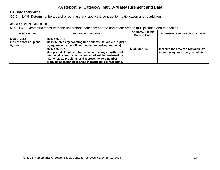#### **PA Core Standards:**

CC.2.4.3.A.5 Determine the area of a rectangle and apply the concept to multiplication and to addition.

#### **ASSESSMENT ANCHOR**

M03.D-M.3 Geometric measurement: understand concepts of area and relate area to multiplication and to addition.

| <b>DESCRIPTOR</b>                                  | <b>ELIGIBLE CONTENT</b>                                                                                                                                                                                                                                         | <b>Alternate Eligible</b><br><b>Content Code</b> | <b>ALTERNATE ELIGIBLE CONTENT</b>                                           |
|----------------------------------------------------|-----------------------------------------------------------------------------------------------------------------------------------------------------------------------------------------------------------------------------------------------------------------|--------------------------------------------------|-----------------------------------------------------------------------------|
| M03.D-M.3.1<br>Find the areas of plane<br>figures. | M03.D-M.3.1.1<br>Measure areas by counting unit squares (square cm, square<br>m, square in., square ft., and non-standard square units).                                                                                                                        |                                                  |                                                                             |
|                                                    | M03.D-M.3.1.2<br>Multiply side lengths to find areas of rectangles with whole-<br>number side lengths in the context of solving real-world and<br>mathematical problems, and represent whole-number<br>products as rectangular areas in mathematical reasoning. | M03DM3.1.2a                                      | Measure the area of a rectangle by<br>counting squares, tiling, or addition |